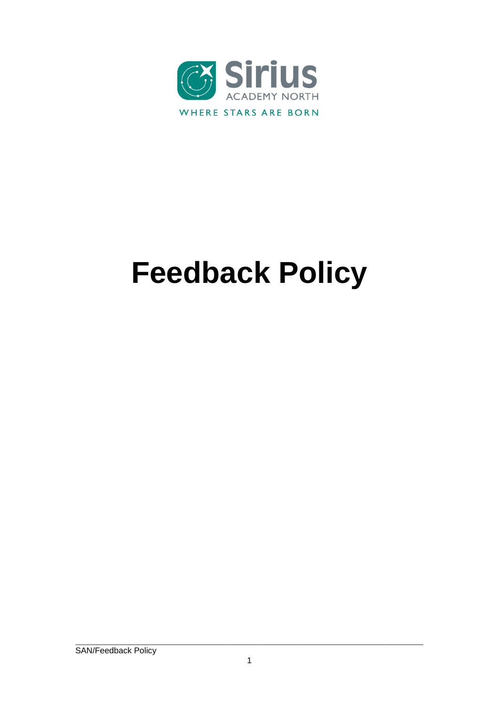

# **Feedback Policy**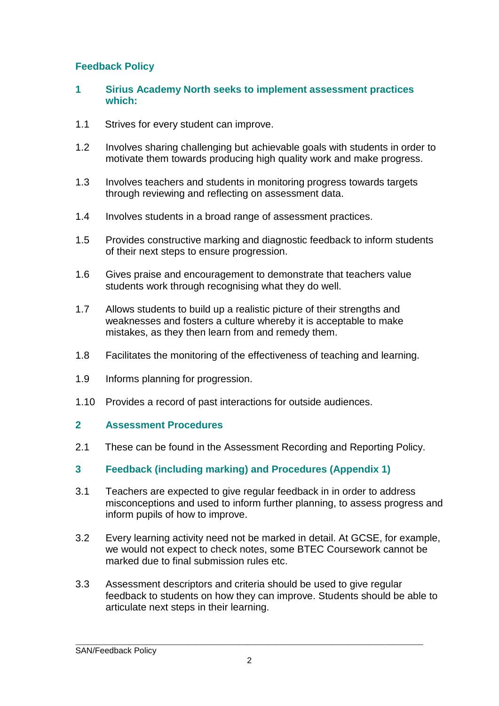# **Feedback Policy**

#### **1 Sirius Academy North seeks to implement assessment practices which:**

- 1.1 Strives for every student can improve.
- 1.2 Involves sharing challenging but achievable goals with students in order to motivate them towards producing high quality work and make progress.
- 1.3 Involves teachers and students in monitoring progress towards targets through reviewing and reflecting on assessment data.
- 1.4 Involves students in a broad range of assessment practices.
- 1.5 Provides constructive marking and diagnostic feedback to inform students of their next steps to ensure progression.
- 1.6 Gives praise and encouragement to demonstrate that teachers value students work through recognising what they do well.
- 1.7 Allows students to build up a realistic picture of their strengths and weaknesses and fosters a culture whereby it is acceptable to make mistakes, as they then learn from and remedy them.
- 1.8 Facilitates the monitoring of the effectiveness of teaching and learning.
- 1.9 Informs planning for progression.
- 1.10 Provides a record of past interactions for outside audiences.

#### **2 Assessment Procedures**

- 2.1 These can be found in the Assessment Recording and Reporting Policy.
- **3 Feedback (including marking) and Procedures (Appendix 1)**
- 3.1 Teachers are expected to give regular feedback in in order to address misconceptions and used to inform further planning, to assess progress and inform pupils of how to improve.
- 3.2 Every learning activity need not be marked in detail. At GCSE, for example, we would not expect to check notes, some BTEC Coursework cannot be marked due to final submission rules etc.
- 3.3 Assessment descriptors and criteria should be used to give regular feedback to students on how they can improve. Students should be able to articulate next steps in their learning.

\_\_\_\_\_\_\_\_\_\_\_\_\_\_\_\_\_\_\_\_\_\_\_\_\_\_\_\_\_\_\_\_\_\_\_\_\_\_\_\_\_\_\_\_\_\_\_\_\_\_\_\_\_\_\_\_\_\_\_\_\_\_\_\_\_\_\_\_\_\_\_\_\_\_\_\_\_\_\_\_\_\_\_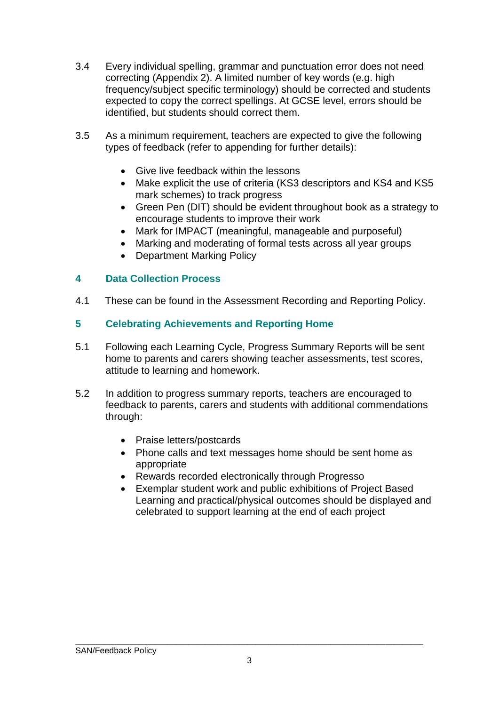- 3.4 Every individual spelling, grammar and punctuation error does not need correcting (Appendix 2). A limited number of key words (e.g. high frequency/subject specific terminology) should be corrected and students expected to copy the correct spellings. At GCSE level, errors should be identified, but students should correct them.
- 3.5 As a minimum requirement, teachers are expected to give the following types of feedback (refer to appending for further details):
	- Give live feedback within the lessons
	- Make explicit the use of criteria (KS3 descriptors and KS4 and KS5 mark schemes) to track progress
	- Green Pen (DIT) should be evident throughout book as a strategy to encourage students to improve their work
	- Mark for IMPACT (meaningful, manageable and purposeful)
	- Marking and moderating of formal tests across all year groups
	- Department Marking Policy

## **4 Data Collection Process**

4.1 These can be found in the Assessment Recording and Reporting Policy.

## **5 Celebrating Achievements and Reporting Home**

- 5.1 Following each Learning Cycle, Progress Summary Reports will be sent home to parents and carers showing teacher assessments, test scores, attitude to learning and homework.
- 5.2 In addition to progress summary reports, teachers are encouraged to feedback to parents, carers and students with additional commendations through:
	- Praise letters/postcards
	- Phone calls and text messages home should be sent home as appropriate
	- Rewards recorded electronically through Progresso
	- Exemplar student work and public exhibitions of Project Based Learning and practical/physical outcomes should be displayed and celebrated to support learning at the end of each project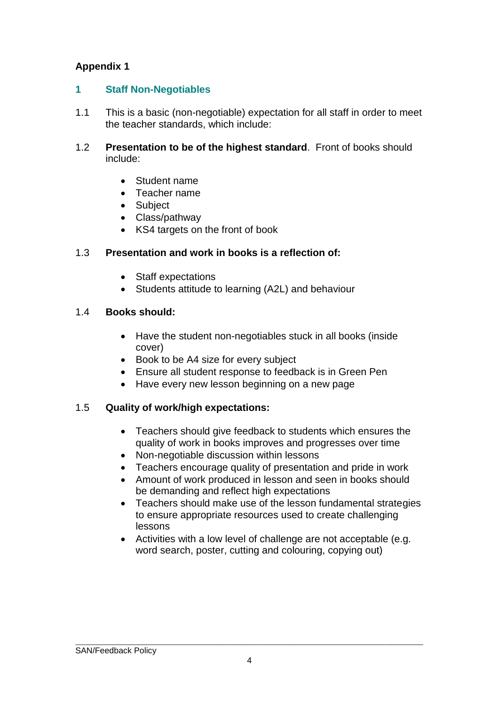# **Appendix 1**

## **1 Staff Non-Negotiables**

- 1.1 This is a basic (non-negotiable) expectation for all staff in order to meet the teacher standards, which include:
- 1.2 **Presentation to be of the highest standard**. Front of books should include:
	- Student name
	- Teacher name
	- Subject
	- Class/pathway
	- KS4 targets on the front of book

## 1.3 **Presentation and work in books is a reflection of:**

- Staff expectations
- Students attitude to learning (A2L) and behaviour

## 1.4 **Books should:**

- Have the student non-negotiables stuck in all books (inside cover)
- Book to be A4 size for every subject
- Ensure all student response to feedback is in Green Pen
- Have every new lesson beginning on a new page

# 1.5 **Quality of work/high expectations:**

- Teachers should give feedback to students which ensures the quality of work in books improves and progresses over time
- Non-negotiable discussion within lessons
- Teachers encourage quality of presentation and pride in work
- Amount of work produced in lesson and seen in books should be demanding and reflect high expectations
- Teachers should make use of the lesson fundamental strategies to ensure appropriate resources used to create challenging lessons
- Activities with a low level of challenge are not acceptable (e.g. word search, poster, cutting and colouring, copying out)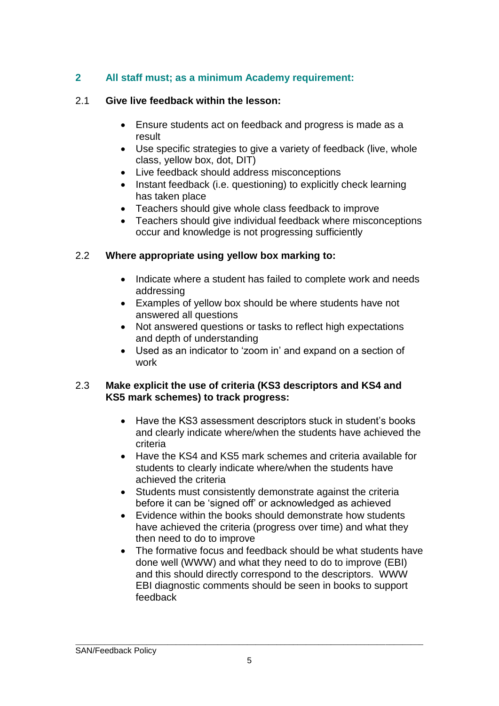# **2 All staff must; as a minimum Academy requirement:**

#### 2.1 **Give live feedback within the lesson:**

- Ensure students act on feedback and progress is made as a result
- Use specific strategies to give a variety of feedback (live, whole class, yellow box, dot, DIT)
- Live feedback should address misconceptions
- Instant feedback (i.e. questioning) to explicitly check learning has taken place
- Teachers should give whole class feedback to improve
- Teachers should give individual feedback where misconceptions occur and knowledge is not progressing sufficiently

#### 2.2 **Where appropriate using yellow box marking to:**

- Indicate where a student has failed to complete work and needs addressing
- Examples of yellow box should be where students have not answered all questions
- Not answered questions or tasks to reflect high expectations and depth of understanding
- Used as an indicator to 'zoom in' and expand on a section of work

#### 2.3 **Make explicit the use of criteria (KS3 descriptors and KS4 and KS5 mark schemes) to track progress:**

- Have the KS3 assessment descriptors stuck in student's books and clearly indicate where/when the students have achieved the criteria
- Have the KS4 and KS5 mark schemes and criteria available for students to clearly indicate where/when the students have achieved the criteria
- Students must consistently demonstrate against the criteria before it can be 'signed off' or acknowledged as achieved
- Evidence within the books should demonstrate how students have achieved the criteria (progress over time) and what they then need to do to improve
- The formative focus and feedback should be what students have done well (WWW) and what they need to do to improve (EBI) and this should directly correspond to the descriptors. WWW EBI diagnostic comments should be seen in books to support feedback